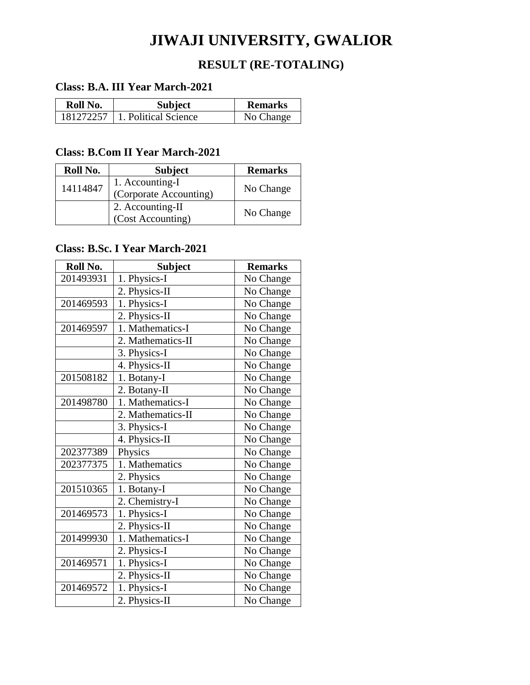# **JIWAJI UNIVERSITY, GWALIOR**

## **RESULT (RE-TOTALING)**

#### **Class: B.A. III Year March-2021**

| Roll No. | <b>Subject</b>                     | <b>Remarks</b> |
|----------|------------------------------------|----------------|
|          | $181272257$   1. Political Science | No Change      |

#### **Class: B.Com II Year March-2021**

| Roll No. | <b>Subject</b>         | <b>Remarks</b> |
|----------|------------------------|----------------|
| 14114847 | 1. Accounting-I        | No Change      |
|          | (Corporate Accounting) |                |
|          | 2. Accounting-II       | No Change      |
|          | (Cost Accounting)      |                |

#### **Class: B.Sc. I Year March-2021**

| Roll No.  | <b>Subject</b>    | <b>Remarks</b> |
|-----------|-------------------|----------------|
| 201493931 | 1. Physics-I      | No Change      |
|           | 2. Physics-II     | No Change      |
| 201469593 | 1. Physics-I      | No Change      |
|           | 2. Physics-II     | No Change      |
| 201469597 | 1. Mathematics-I  | No Change      |
|           | 2. Mathematics-II | No Change      |
|           | 3. Physics-I      | No Change      |
|           | 4. Physics-II     | No Change      |
| 201508182 | 1. Botany-I       | No Change      |
|           | 2. Botany-II      | No Change      |
| 201498780 | 1. Mathematics-I  | No Change      |
|           | 2. Mathematics-II | No Change      |
|           | 3. Physics-I      | No Change      |
|           | 4. Physics-II     | No Change      |
| 202377389 | Physics           | No Change      |
| 202377375 | 1. Mathematics    | No Change      |
|           | 2. Physics        | No Change      |
| 201510365 | 1. Botany-I       | No Change      |
|           | 2. Chemistry-I    | No Change      |
| 201469573 | 1. Physics-I      | No Change      |
|           | 2. Physics-II     | No Change      |
| 201499930 | 1. Mathematics-I  | No Change      |
|           | 2. Physics-I      | No Change      |
| 201469571 | 1. Physics-I      | No Change      |
|           | 2. Physics-II     | No Change      |
| 201469572 | 1. Physics-I      | No Change      |
|           | 2. Physics-II     | No Change      |